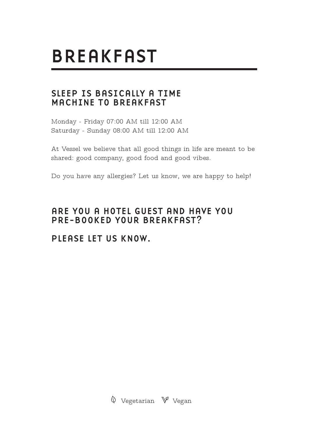# **BREAKFAST**

#### SIFFP IS BASICALLY A TIME MACHINE TO BREAKFAST

Monday - Friday 07:00 AM till 12:00 AM Saturday - Sunday 08:00 AM till 12:00 AM

At Vessel we believe that all good things in life are meant to be shared: good company, good food and good vibes.

Do you have any allergies? Let us know, we are happy to help!

#### ARE YOU A HOTEL GUEST AND HAVE YOU PRE-BOOKED YOUR BREAKFAST?

#### PLEASE LET US KNOW.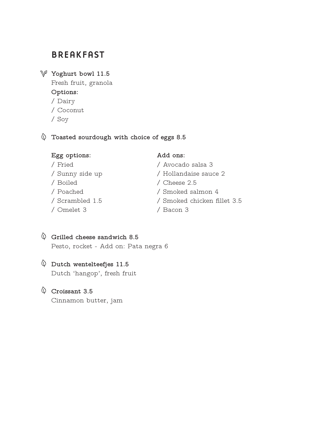### **BREAKFAST**

**Yoghurt bowl 11.5**

Fresh fruit, granola **Options:** / Dairy / Coconut / Soy

**Toasted sourdough with choice of eggs 8.5**

#### **Egg options: Add ons:**

- / Fried / Avocado salsa 3
- / Sunny side up / Hollandaise sauce 2
	-
- / Poached / Smoked salmon 4
- / Scrambled 1.5 / Smoked chicken fillet 3.5
	-

**Grilled cheese sandwich 8.5** Pesto, rocket - Add on: Pata negra 6

- **Dutch wentelteefjes 11.5** Dutch 'hangop', fresh fruit
- **Croissant 3.5**

Cinnamon butter, jam

- / Boiled / Cheese 2.5
- / Omelet 3 / Bacon 3